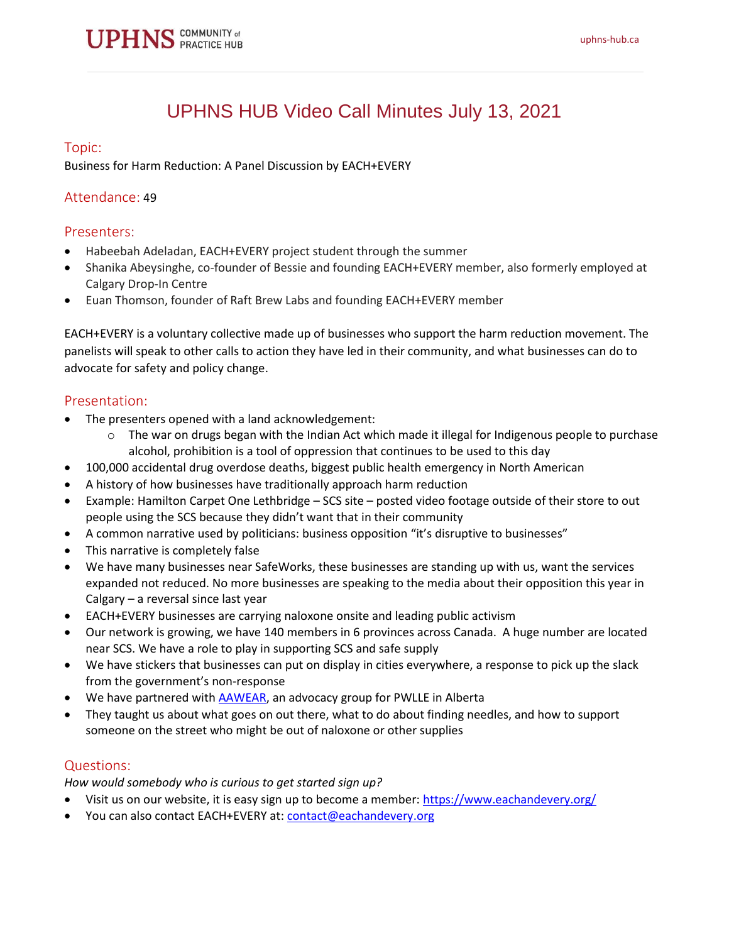

# UPHNS HUB Video Call Minutes July 13, 2021

### Topic:

Business for Harm Reduction: A Panel Discussion by EACH+EVERY

### Attendance: 49

### Presenters:

- Habeebah Adeladan, EACH+EVERY project student through the summer
- Shanika Abeysinghe, co-founder of Bessie and founding EACH+EVERY member, also formerly employed at Calgary Drop-In Centre
- Euan Thomson, founder of Raft Brew Labs and founding EACH+EVERY member

EACH+EVERY is a voluntary collective made up of businesses who support the harm reduction movement. The panelists will speak to other calls to action they have led in their community, and what businesses can do to advocate for safety and policy change.

## Presentation:

- The presenters opened with a land acknowledgement:
	- $\circ$  The war on drugs began with the Indian Act which made it illegal for Indigenous people to purchase alcohol, prohibition is a tool of oppression that continues to be used to this day
	- 100,000 accidental drug overdose deaths, biggest public health emergency in North American
- A history of how businesses have traditionally approach harm reduction
- Example: Hamilton Carpet One Lethbridge SCS site posted video footage outside of their store to out people using the SCS because they didn't want that in their community
- A common narrative used by politicians: business opposition "it's disruptive to businesses"
- This narrative is completely false
- We have many businesses near SafeWorks, these businesses are standing up with us, want the services expanded not reduced. No more businesses are speaking to the media about their opposition this year in Calgary – a reversal since last year
- EACH+EVERY businesses are carrying naloxone onsite and leading public activism
- Our network is growing, we have 140 members in 6 provinces across Canada. A huge number are located near SCS. We have a role to play in supporting SCS and safe supply
- We have stickers that businesses can put on display in cities everywhere, a response to pick up the slack from the government's non-response
- We have partnered with [AAWEAR,](http://www.aawear.org/about-1) an advocacy group for PWLLE in Alberta
- They taught us about what goes on out there, what to do about finding needles, and how to support someone on the street who might be out of naloxone or other supplies

### Questions:

*How would somebody who is curious to get started sign up?*

- Visit us on our website, it is easy sign up to become a member: <https://www.eachandevery.org/>
- You can also contact EACH+EVERY at: [contact@eachandevery.org](mailto:contact@eachandevery.org)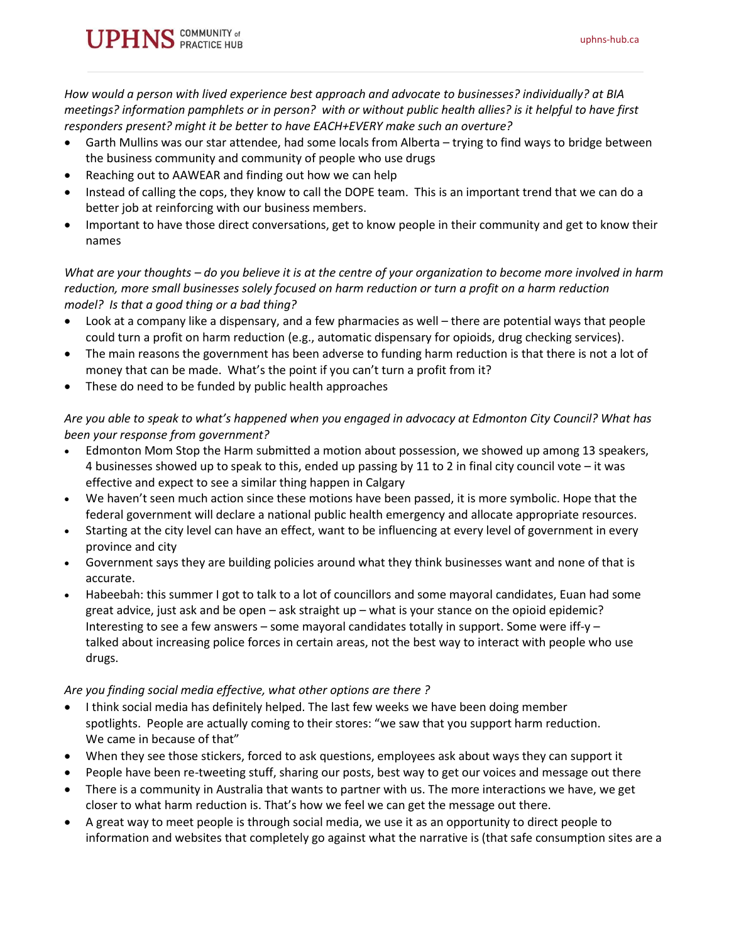*How would a person with lived experience best approach and advocate to businesses? individually? at BIA meetings? information pamphlets or in person? with or without public health allies? is it helpful to have first responders present? might it be better to have EACH+EVERY make such an overture?*

- Garth Mullins was our star attendee, had some locals from Alberta trying to find ways to bridge between the business community and community of people who use drugs
- Reaching out to AAWEAR and finding out how we can help
- Instead of calling the cops, they know to call the DOPE team. This is an important trend that we can do a better job at reinforcing with our business members.
- Important to have those direct conversations, get to know people in their community and get to know their names

*What are your thoughts – do you believe it is at the centre of your organization to become more involved in harm reduction, more small businesses solely focused on harm reduction or turn a profit on a harm reduction model? Is that a good thing or a bad thing?*

- Look at a company like a dispensary, and a few pharmacies as well there are potential ways that people could turn a profit on harm reduction (e.g., automatic dispensary for opioids, drug checking services).
- The main reasons the government has been adverse to funding harm reduction is that there is not a lot of money that can be made. What's the point if you can't turn a profit from it?
- These do need to be funded by public health approaches

# *Are you able to speak to what's happened when you engaged in advocacy at Edmonton City Council? What has been your response from government?*

- Edmonton Mom Stop the Harm submitted a motion about possession, we showed up among 13 speakers, 4 businesses showed up to speak to this, ended up passing by 11 to 2 in final city council vote – it was effective and expect to see a similar thing happen in Calgary
- We haven't seen much action since these motions have been passed, it is more symbolic. Hope that the federal government will declare a national public health emergency and allocate appropriate resources.
- Starting at the city level can have an effect, want to be influencing at every level of government in every province and city
- Government says they are building policies around what they think businesses want and none of that is accurate.
- Habeebah: this summer I got to talk to a lot of councillors and some mayoral candidates, Euan had some great advice, just ask and be open – ask straight up – what is your stance on the opioid epidemic? Interesting to see a few answers – some mayoral candidates totally in support. Some were iff-y – talked about increasing police forces in certain areas, not the best way to interact with people who use drugs.

# *Are you finding social media effective, what other options are there ?*

- I think social media has definitely helped. The last few weeks we have been doing member spotlights. People are actually coming to their stores: "we saw that you support harm reduction. We came in because of that"
- When they see those stickers, forced to ask questions, employees ask about ways they can support it
- People have been re-tweeting stuff, sharing our posts, best way to get our voices and message out there
- There is a community in Australia that wants to partner with us. The more interactions we have, we get closer to what harm reduction is. That's how we feel we can get the message out there.
- A great way to meet people is through social media, we use it as an opportunity to direct people to information and websites that completely go against what the narrative is (that safe consumption sites are a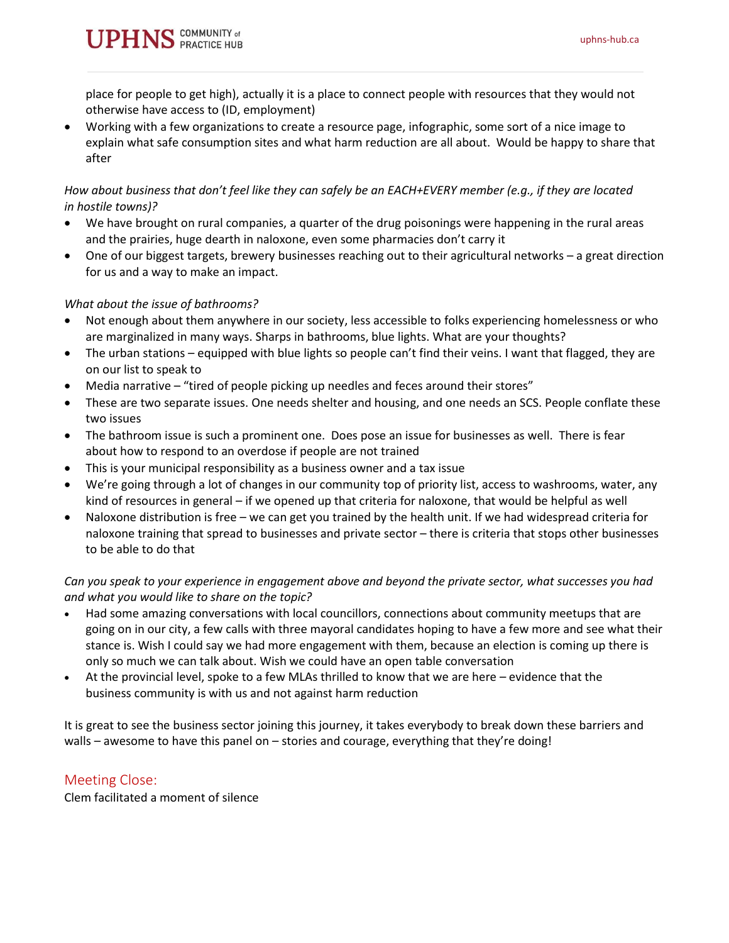**PHNS** COMMUNITY of

place for people to get high), actually it is a place to connect people with resources that they would not otherwise have access to (ID, employment)

• Working with a few organizations to create a resource page, infographic, some sort of a nice image to explain what safe consumption sites and what harm reduction are all about. Would be happy to share that after

## *How about business that don't feel like they can safely be an EACH+EVERY member (e.g., if they are located in hostile towns)?*

- We have brought on rural companies, a quarter of the drug poisonings were happening in the rural areas and the prairies, huge dearth in naloxone, even some pharmacies don't carry it
- One of our biggest targets, brewery businesses reaching out to their agricultural networks a great direction for us and a way to make an impact.

## *What about the issue of bathrooms?*

- Not enough about them anywhere in our society, less accessible to folks experiencing homelessness or who are marginalized in many ways. Sharps in bathrooms, blue lights. What are your thoughts?
- The urban stations equipped with blue lights so people can't find their veins. I want that flagged, they are on our list to speak to
- Media narrative "tired of people picking up needles and feces around their stores"
- These are two separate issues. One needs shelter and housing, and one needs an SCS. People conflate these two issues
- The bathroom issue is such a prominent one. Does pose an issue for businesses as well. There is fear about how to respond to an overdose if people are not trained
- This is your municipal responsibility as a business owner and a tax issue
- We're going through a lot of changes in our community top of priority list, access to washrooms, water, any kind of resources in general – if we opened up that criteria for naloxone, that would be helpful as well
- Naloxone distribution is free we can get you trained by the health unit. If we had widespread criteria for naloxone training that spread to businesses and private sector – there is criteria that stops other businesses to be able to do that

# *Can you speak to your experience in engagement above and beyond the private sector, what successes you had and what you would like to share on the topic?*

- Had some amazing conversations with local councillors, connections about community meetups that are going on in our city, a few calls with three mayoral candidates hoping to have a few more and see what their stance is. Wish I could say we had more engagement with them, because an election is coming up there is only so much we can talk about. Wish we could have an open table conversation
- At the provincial level, spoke to a few MLAs thrilled to know that we are here evidence that the business community is with us and not against harm reduction

It is great to see the business sector joining this journey, it takes everybody to break down these barriers and walls – awesome to have this panel on – stories and courage, everything that they're doing!

# Meeting Close:

Clem facilitated a moment of silence